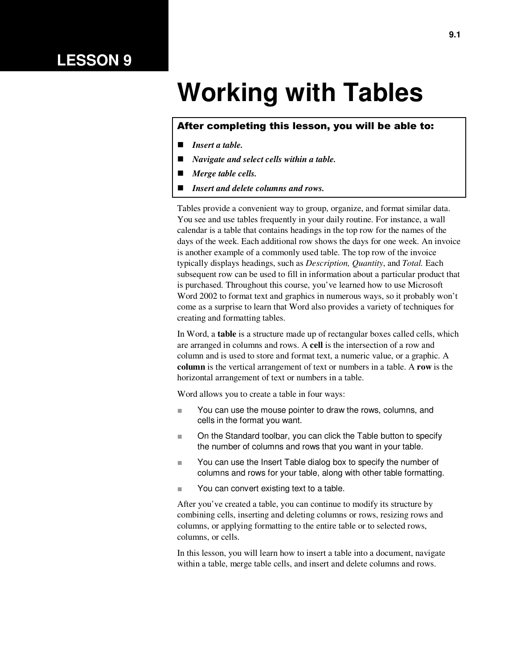# **LESSON 9**

#### After completing this lesson, you will be able to:

- *Insert a table.*
- *Navigate and select cells within a table.*
- *Merge table cells.*
- *Insert and delete columns and rows.*

Tables provide a convenient way to group, organize, and format similar data. You see and use tables frequently in your daily routine. For instance, a wall calendar is a table that contains headings in the top row for the names of the days of the week. Each additional row shows the days for one week. An invoice is another example of a commonly used table. The top row of the invoice typically displays headings, such as *Description, Quantity*, and *Total.* Each subsequent row can be used to fill in information about a particular product that is purchased. Throughout this course, you've learned how to use Microsoft Word 2002 to format text and graphics in numerous ways, so it probably won't come as a surprise to learn that Word also provides a variety of techniques for creating and formatting tables.

In Word, a **table** is a structure made up of rectangular boxes called cells, which are arranged in columns and rows. A **cell** is the intersection of a row and column and is used to store and format text, a numeric value, or a graphic. A **column** is the vertical arrangement of text or numbers in a table. A **row** is the horizontal arrangement of text or numbers in a table.

Word allows you to create a table in four ways:

- You can use the mouse pointer to draw the rows, columns, and cells in the format you want.
- On the Standard toolbar, you can click the Table button to specify the number of columns and rows that you want in your table.
- You can use the Insert Table dialog box to specify the number of columns and rows for your table, along with other table formatting.
- You can convert existing text to a table.

After you've created a table, you can continue to modify its structure by combining cells, inserting and deleting columns or rows, resizing rows and columns, or applying formatting to the entire table or to selected rows, columns, or cells.

In this lesson, you will learn how to insert a table into a document, navigate within a table, merge table cells, and insert and delete columns and rows.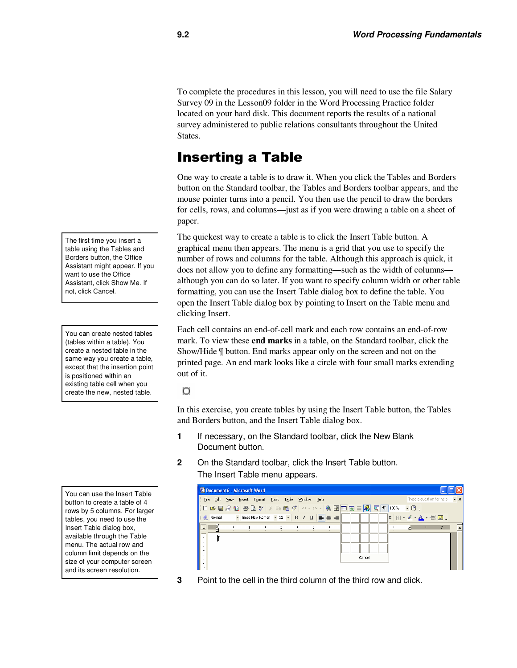To complete the procedures in this lesson, you will need to use the file Salary Survey 09 in the Lesson09 folder in the Word Processing Practice folder located on your hard disk. This document reports the results of a national survey administered to public relations consultants throughout the United States.

# Inserting a Table

One way to create a table is to draw it. When you click the Tables and Borders button on the Standard toolbar, the Tables and Borders toolbar appears, and the mouse pointer turns into a pencil. You then use the pencil to draw the borders for cells, rows, and columns—just as if you were drawing a table on a sheet of paper.

The quickest way to create a table is to click the Insert Table button. A graphical menu then appears. The menu is a grid that you use to specify the number of rows and columns for the table. Although this approach is quick, it does not allow you to define any formatting—such as the width of columns although you can do so later. If you want to specify column width or other table formatting, you can use the Insert Table dialog box to define the table. You open the Insert Table dialog box by pointing to Insert on the Table menu and clicking Insert.

Each cell contains an end-of-cell mark and each row contains an end-of-row mark. To view these **end marks** in a table, on the Standard toolbar, click the Show/Hide ¶ button. End marks appear only on the screen and not on the printed page. An end mark looks like a circle with four small marks extending out of it.

 $\Box$ 

In this exercise, you create tables by using the Insert Table button, the Tables and Borders button, and the Insert Table dialog box.

- **1** If necessary, on the Standard toolbar, click the New Blank Document button.
- **2** On the Standard toolbar, click the Insert Table button. The Insert Table menu appears.

| <sup>22</sup> Document6 - Microsoft Word             |                                                                             |
|------------------------------------------------------|-----------------------------------------------------------------------------|
| File Edit View Insert Format Tools Table Window Help | Type a question for help<br>$\cdot$ $\times$                                |
| <b>DGBBBB</b> VXBC√rra- <mark>&amp;BEBBB</mark> DCT  | $100\% - \frac{9}{2}$                                                       |
| A Normal v Times New Roman v 12 v B J U   三三目        | $\mathbb{E} \boxplus \cdot \mathscr{S} \cdot \mathbf{A} \cdot \mathbb{H}$ . |
|                                                      | <b>FIFT AFT FIFT 7 1</b>                                                    |
|                                                      |                                                                             |
|                                                      |                                                                             |
|                                                      | Cancel                                                                      |
|                                                      |                                                                             |

**3** Point to the cell in the third column of the third row and click.

The first time you insert a table using the Tables and Borders button, the Office Assistant might appear. If you want to use the Office Assistant, click Show Me. If not, click Cancel.

You can create nested tables (tables within a table). You create a nested table in the same way you create a table, except that the insertion point is positioned within an existing table cell when you create the new, nested table.

You can use the Insert Table button to create a table of 4 rows by 5 columns. For larger tables, you need to use the Insert Table dialog box, available through the Table menu. The actual row and column limit depends on the size of your computer screen and its screen resolution.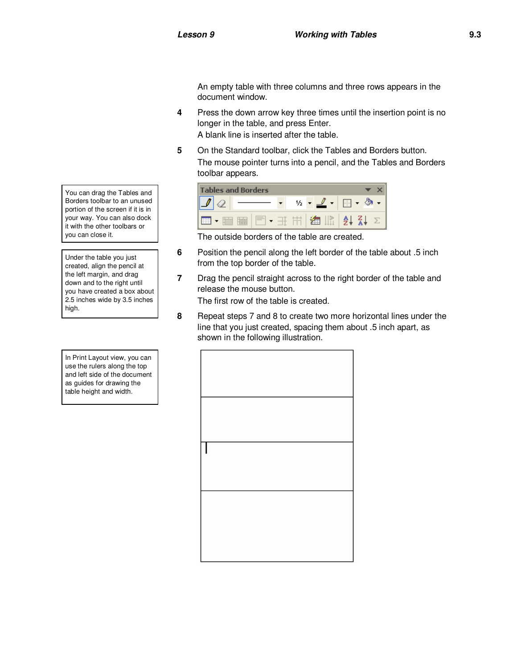An empty table with three columns and three rows appears in the document window.

- **4** Press the down arrow key three times until the insertion point is no longer in the table, and press Enter. A blank line is inserted after the table.
- **5** On the Standard toolbar, click the Tables and Borders button. The mouse pointer turns into a pencil, and the Tables and Borders toolbar appears.

|                 | <b>Tables and Borders</b>                 |  |                           |  |  |
|-----------------|-------------------------------------------|--|---------------------------|--|--|
| J <br>$\oslash$ |                                           |  | <u>vs - ノ</u> -   ⊟ - ⊗ - |  |  |
|                 | <b>□ · 圖 圖 □ · 31 Ⅲ   编 Ⅲ 2 2 2 × 2  </b> |  |                           |  |  |

The outside borders of the table are created.

- **6** Position the pencil along the left border of the table about .5 inch from the top border of the table.
- **7** Drag the pencil straight across to the right border of the table and release the mouse button.

The first row of the table is created.

**8** Repeat steps 7 and 8 to create two more horizontal lines under the line that you just created, spacing them about .5 inch apart, as shown in the following illustration.

You can drag the Tables and Borders toolbar to an unused portion of the screen if it is in your way. You can also dock it with the other toolbars or you can close it.

Under the table you just created, align the pencil at the left margin, and drag down and to the right until you have created a box about 2.5 inches wide by 3.5 inches high.

In Print Layout view, you can use the rulers along the top and left side of the document as guides for drawing the table height and width.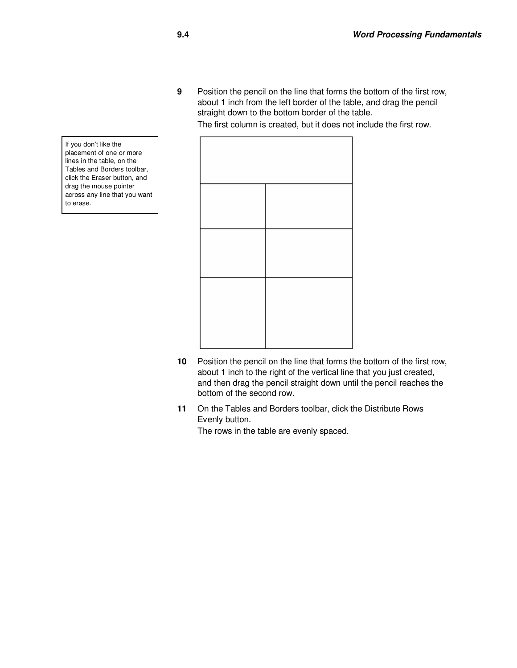**9** Position the pencil on the line that forms the bottom of the first row, about 1 inch from the left border of the table, and drag the pencil straight down to the bottom border of the table.

The first column is created, but it does not include the first row.



placement of one or more lines in the table, on the Tables and Borders toolbar, click the Eraser button, and drag the mouse pointer across any line that you want to erase.

If you don't like the

- **10** Position the pencil on the line that forms the bottom of the first row, about 1 inch to the right of the vertical line that you just created, and then drag the pencil straight down until the pencil reaches the bottom of the second row.
- **11** On the Tables and Borders toolbar, click the Distribute Rows Evenly button.

The rows in the table are evenly spaced.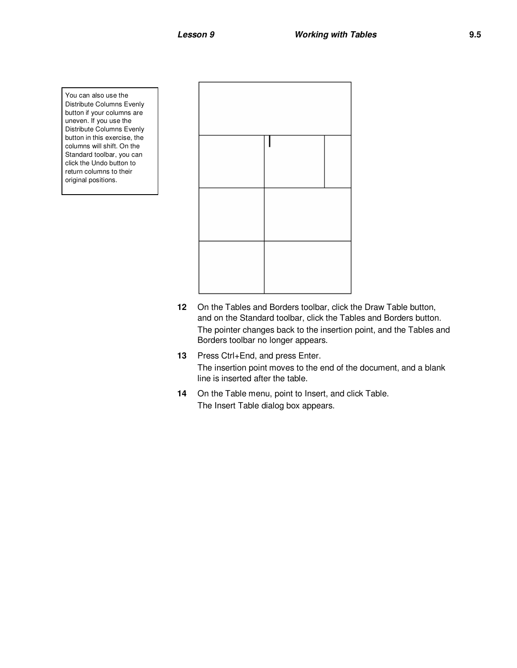You can also use the Distribute Columns Evenly button if your columns are uneven. If you use the Distribute Columns Evenly button in this exercise, the columns will shift. On the Standard toolbar, you can click the Undo button to return columns to their original positions.



- **12** On the Tables and Borders toolbar, click the Draw Table button, and on the Standard toolbar, click the Tables and Borders button. The pointer changes back to the insertion point, and the Tables and Borders toolbar no longer appears.
- **13** Press Ctrl+End, and press Enter. The insertion point moves to the end of the document, and a blank line is inserted after the table.
- **14** On the Table menu, point to Insert, and click Table. The Insert Table dialog box appears.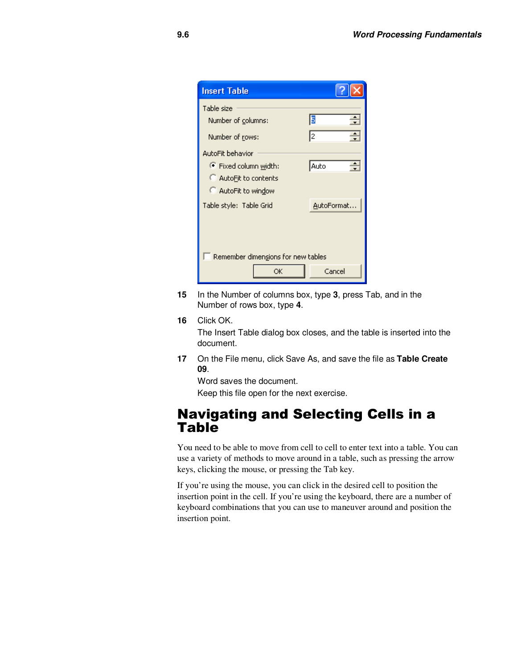

- **15** In the Number of columns box, type **3**, press Tab, and in the Number of rows box, type **4**.
- **16** Click OK.

The Insert Table dialog box closes, and the table is inserted into the document.

**17** On the File menu, click Save As, and save the file as **Table Create 09**.

Word saves the document.

Keep this file open for the next exercise.

### Navigating and Selecting Cells in a Table

You need to be able to move from cell to cell to enter text into a table. You can use a variety of methods to move around in a table, such as pressing the arrow keys, clicking the mouse, or pressing the Tab key.

If you're using the mouse, you can click in the desired cell to position the insertion point in the cell. If you're using the keyboard, there are a number of keyboard combinations that you can use to maneuver around and position the insertion point.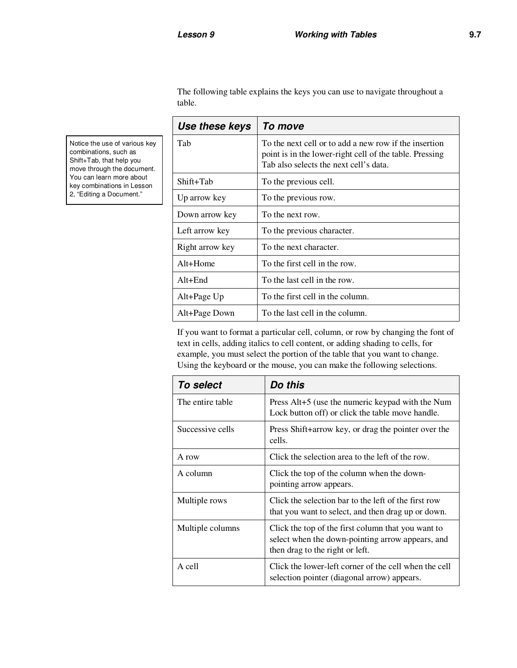Notice the use of various key combinations, such as Shift+Tab, that help you move through the document. You can learn more about key combinations in Lesson 2, "Editing a Document."

| Use these keys  | To move                                                                                                                                                    |
|-----------------|------------------------------------------------------------------------------------------------------------------------------------------------------------|
| Tab             | To the next cell or to add a new row if the insertion<br>point is in the lower-right cell of the table. Pressing<br>Tab also selects the next cell's data. |
| Shift+Tab       | To the previous cell.                                                                                                                                      |
| Up arrow key    | To the previous row.                                                                                                                                       |
| Down arrow key  | To the next row.                                                                                                                                           |
| Left arrow key  | To the previous character.                                                                                                                                 |
| Right arrow key | To the next character.                                                                                                                                     |
| $Alt+Home$      | To the first cell in the row.                                                                                                                              |
| $Alt+End$       | To the last cell in the row.                                                                                                                               |
| Alt+Page Up     | To the first cell in the column.                                                                                                                           |
| Alt+Page Down   | To the last cell in the column.                                                                                                                            |

The following table explains the keys you can use to navigate throughout a table.

If you want to format a particular cell, column, or row by changing the font of text in cells, adding italics to cell content, or adding shading to cells, for example, you must select the portion of the table that you want to change. Using the keyboard or the mouse, you can make the following selections.

| <b>To select</b> | Do this                                                                                                                                   |
|------------------|-------------------------------------------------------------------------------------------------------------------------------------------|
| The entire table | Press Alt+5 (use the numeric keypad with the Num<br>Lock button off) or click the table move handle.                                      |
| Successive cells | Press Shift+arrow key, or drag the pointer over the<br>cells.                                                                             |
| A row            | Click the selection area to the left of the row.                                                                                          |
| A column         | Click the top of the column when the down-<br>pointing arrow appears.                                                                     |
| Multiple rows    | Click the selection bar to the left of the first row<br>that you want to select, and then drag up or down.                                |
| Multiple columns | Click the top of the first column that you want to<br>select when the down-pointing arrow appears, and<br>then drag to the right or left. |
| A cell           | Click the lower-left corner of the cell when the cell<br>selection pointer (diagonal arrow) appears.                                      |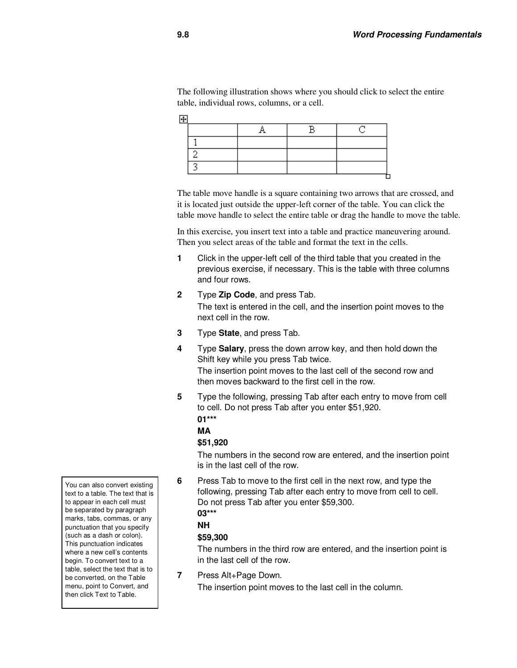The following illustration shows where you should click to select the entire table, individual rows, columns, or a cell.

曱

The table move handle is a square containing two arrows that are crossed, and it is located just outside the upper-left corner of the table. You can click the table move handle to select the entire table or drag the handle to move the table.

In this exercise, you insert text into a table and practice maneuvering around. Then you select areas of the table and format the text in the cells.

- **1** Click in the upper-left cell of the third table that you created in the previous exercise, if necessary. This is the table with three columns and four rows.
- **2** Type **Zip Code**, and press Tab. The text is entered in the cell, and the insertion point moves to the next cell in the row.
- **3** Type **State**, and press Tab.
- **4** Type **Salary**, press the down arrow key, and then hold down the Shift key while you press Tab twice.

The insertion point moves to the last cell of the second row and then moves backward to the first cell in the row.

**5** Type the following, pressing Tab after each entry to move from cell to cell. Do not press Tab after you enter \$51,920. **01\*\*\*** 

### **MA**

#### **\$51,920**

The numbers in the second row are entered, and the insertion point is in the last cell of the row.

**6** Press Tab to move to the first cell in the next row, and type the following, pressing Tab after each entry to move from cell to cell. Do not press Tab after you enter \$59,300.

**03\*\*\*** 

### **NH**

#### **\$59,300**

The numbers in the third row are entered, and the insertion point is in the last cell of the row.

**7** Press Alt+Page Down.

The insertion point moves to the last cell in the column.

You can also convert existing text to a table. The text that is to appear in each cell must be separated by paragraph marks, tabs, commas, or any punctuation that you specify (such as a dash or colon). This punctuation indicates where a new cell's contents begin. To convert text to a table, select the text that is to be converted, on the Table menu, point to Convert, and then click Text to Table.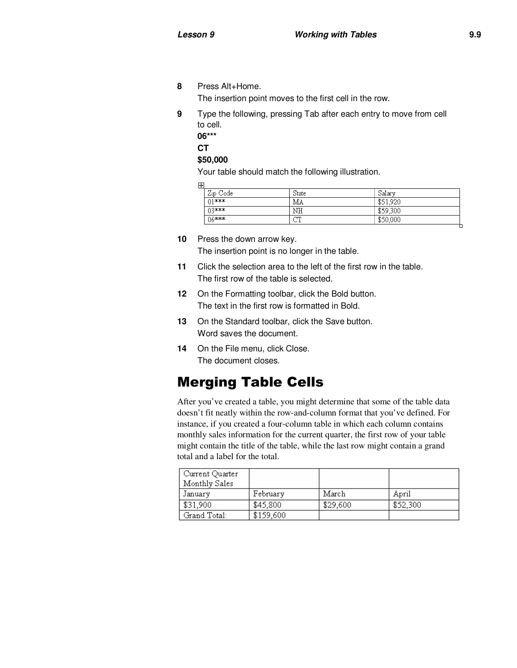**8** Press Alt+Home.

The insertion point moves to the first cell in the row.

**9** Type the following, pressing Tab after each entry to move from cell to cell.

**06\*\*\*** 

**CT** 

#### **\$50,000**

Your table should match the following illustration.

 $\bigoplus$ 

| Zip Code | State            | Salarv   |
|----------|------------------|----------|
| ∩1≫≫≈    | ΜA               | \$51,920 |
| 03***    | NH               | \$59,300 |
| 06***    | <b>ATT</b><br>◡⊥ | \$50,000 |
|          |                  |          |

- **10** Press the down arrow key. The insertion point is no longer in the table.
- **11** Click the selection area to the left of the first row in the table. The first row of the table is selected.
- **12** On the Formatting toolbar, click the Bold button. The text in the first row is formatted in Bold.
- **13** On the Standard toolbar, click the Save button. Word saves the document.
- 14 On the File menu, click Close. The document closes.

# Merging Table Cells

After you've created a table, you might determine that some of the table data doesn't fit neatly within the row-and-column format that you've defined. For instance, if you created a four-column table in which each column contains monthly sales information for the current quarter, the first row of your table might contain the title of the table, while the last row might contain a grand total and a label for the total.

| Current Quarter<br>Monthly Sales |           |          |          |
|----------------------------------|-----------|----------|----------|
| January                          | February  | March    | April    |
| \$31,900                         | \$45,800  | \$29,600 | \$52,300 |
| Grand Total:                     | \$159,600 |          |          |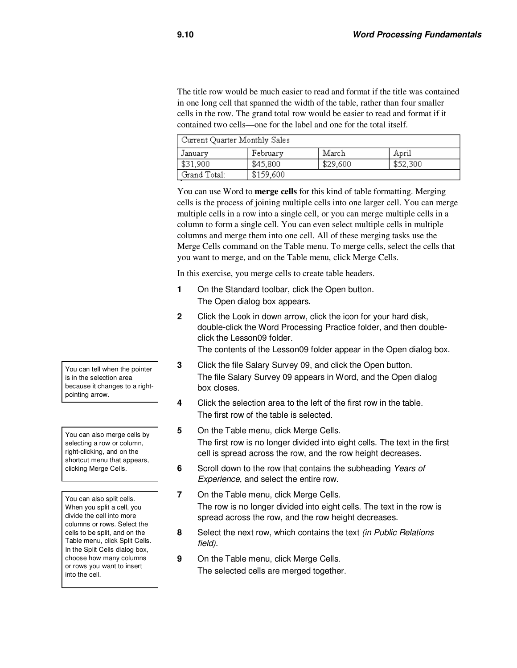The title row would be much easier to read and format if the title was contained in one long cell that spanned the width of the table, rather than four smaller cells in the row. The grand total row would be easier to read and format if it contained two cells—one for the label and one for the total itself.

| Current Quarter Monthly Sales |           |          |          |  |  |  |  |
|-------------------------------|-----------|----------|----------|--|--|--|--|
| January                       | February  | March    | April    |  |  |  |  |
| \$31,900                      | \$45,800  | \$29,600 | \$52,300 |  |  |  |  |
| Grand Total:                  | \$159.600 |          |          |  |  |  |  |

You can use Word to **merge cells** for this kind of table formatting. Merging cells is the process of joining multiple cells into one larger cell. You can merge multiple cells in a row into a single cell, or you can merge multiple cells in a column to form a single cell. You can even select multiple cells in multiple columns and merge them into one cell. All of these merging tasks use the Merge Cells command on the Table menu. To merge cells, select the cells that you want to merge, and on the Table menu, click Merge Cells.

In this exercise, you merge cells to create table headers.

- **1** On the Standard toolbar, click the Open button. The Open dialog box appears.
- **2** Click the Look in down arrow, click the icon for your hard disk, double-click the Word Processing Practice folder, and then doubleclick the Lesson09 folder. The contents of the Lesson09 folder appear in the Open dialog box.
	-
- **3** Click the file Salary Survey 09, and click the Open button. The file Salary Survey 09 appears in Word, and the Open dialog box closes.
- **4** Click the selection area to the left of the first row in the table. The first row of the table is selected.
- **5** On the Table menu, click Merge Cells. The first row is no longer divided into eight cells. The text in the first cell is spread across the row, and the row height decreases.
- **6** Scroll down to the row that contains the subheading Years of Experience, and select the entire row.
- **7** On the Table menu, click Merge Cells. The row is no longer divided into eight cells. The text in the row is spread across the row, and the row height decreases.
- **8** Select the next row, which contains the text *(in Public Relations*) field).
- **9** On the Table menu, click Merge Cells. The selected cells are merged together.

You can tell when the pointer is in the selection area because it changes to a rightpointing arrow.

You can also merge cells by selecting a row or column, right-clicking, and on the shortcut menu that appears, clicking Merge Cells.

You can also split cells. When you split a cell, you divide the cell into more columns or rows. Select the cells to be split, and on the Table menu, click Split Cells. In the Split Cells dialog box, choose how many columns or rows you want to insert into the cell.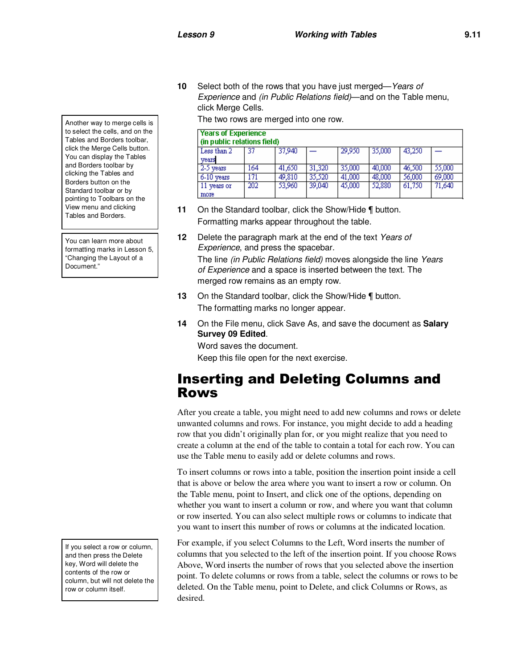**10** Select both of the rows that you have just merged—Years of Experience and (in Public Relations field)—and on the Table menu, click Merge Cells.

The two rows are merged into one row.

| <b>Years of Experience</b><br>(in public relations field) |     |        |        |        |        |        |        |  |
|-----------------------------------------------------------|-----|--------|--------|--------|--------|--------|--------|--|
| Less than 2<br>vears                                      | 37  | 37,940 |        | 29,950 | 35,000 | 43,250 |        |  |
| $2-5$ years                                               | 164 | 41.650 | 31.320 | 35,000 | 40,000 | 46.500 | 55,000 |  |
| $6-10$ vears                                              | 171 | 49,810 | 35,520 | 41,000 | 48,000 | 56,000 | 69,000 |  |
| 11 years or<br>more                                       | 202 | 53,960 | 39,040 | 45,000 | 52,880 | 61,750 | 71,640 |  |

- **11** On the Standard toolbar, click the Show/Hide ¶ button. Formatting marks appear throughout the table.
- **12** Delete the paragraph mark at the end of the text Years of Experience, and press the spacebar. The line (in Public Relations field) moves alongside the line Years of Experience and a space is inserted between the text. The merged row remains as an empty row.
- **13** On the Standard toolbar, click the Show/Hide ¶ button. The formatting marks no longer appear.
- **14** On the File menu, click Save As, and save the document as **Salary Survey 09 Edited**.

Word saves the document.

Keep this file open for the next exercise.

### Inserting and Deleting Columns and Rows

After you create a table, you might need to add new columns and rows or delete unwanted columns and rows. For instance, you might decide to add a heading row that you didn't originally plan for, or you might realize that you need to create a column at the end of the table to contain a total for each row. You can use the Table menu to easily add or delete columns and rows.

To insert columns or rows into a table, position the insertion point inside a cell that is above or below the area where you want to insert a row or column. On the Table menu, point to Insert, and click one of the options, depending on whether you want to insert a column or row, and where you want that column or row inserted. You can also select multiple rows or columns to indicate that you want to insert this number of rows or columns at the indicated location.

For example, if you select Columns to the Left, Word inserts the number of columns that you selected to the left of the insertion point. If you choose Rows Above, Word inserts the number of rows that you selected above the insertion point. To delete columns or rows from a table, select the columns or rows to be deleted. On the Table menu, point to Delete, and click Columns or Rows, as desired.

Another way to merge cells is to select the cells, and on the Tables and Borders toolbar, click the Merge Cells button. You can display the Tables and Borders toolbar by clicking the Tables and Borders button on the Standard toolbar or by pointing to Toolbars on the View menu and clicking Tables and Borders.

You can learn more about formatting marks in Lesson 5, "Changing the Layout of a Document."

If you select a row or column, and then press the Delete key, Word will delete the contents of the row or column, but will not delete the row or column itself.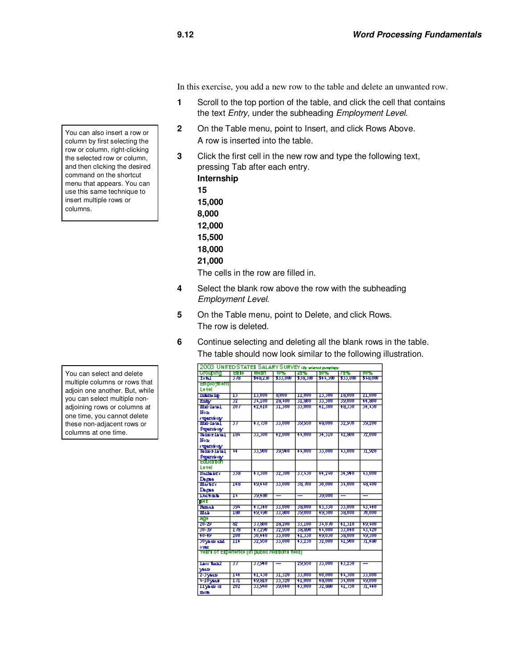In this exercise, you add a new row to the table and delete an unwanted row.

- **1** Scroll to the top portion of the table, and click the cell that contains the text Entry, under the subheading Employment Level.
- **2** On the Table menu, point to Insert, and click Rows Above. A row is inserted into the table.
- **3** Click the first cell in the new row and type the following text, pressing Tab after each entry.

| Internship |  |
|------------|--|
| 15         |  |
| 15,000     |  |
| 8,000      |  |
| 12,000     |  |
| 15,500     |  |
| 18,000     |  |
| 21,000     |  |
|            |  |

The cells in the row are filled in.

- **4** Select the blank row above the row with the subheading Employment Level.
- **5** On the Table menu, point to Delete, and click Rows. The row is deleted.
- **6** Continue selecting and deleting all the blank rows in the table. The table should now look similar to the following illustration.

| 2003 UNITED STATES SALARY SURVEY (By selected propriagly)     |       |                  |         |                  |                  |                        |                  |
|---------------------------------------------------------------|-------|------------------|---------|------------------|------------------|------------------------|------------------|
| Grouping                                                      | Es lo | <b>MONT</b>      | 10%     | 25%              | 50%              | 75%                    | 50%              |
| लिय                                                           | সম    | 548,230          | 555.000 | 558.IW           | 543,300          | 333,000                | 318.VW           |
| En proyn en t                                                 |       |                  |         |                  |                  |                        |                  |
| Level                                                         |       |                  |         |                  |                  |                        |                  |
| <b>Industry</b> hap                                           | Б     | 13,000           | swo     | 17,000           | 13,300           | 18,000                 | 21,000           |
| <b>Haday</b>                                                  | π     | 34,100           | 78. LOO | 31,800           | 33,300           | 39,000                 | 44,800           |
| Mai-Laugh                                                     | W     | 42,410           | 31,300  | 33,000           | 41,300           | 48,330                 | 34,430           |
| None                                                          |       |                  |         |                  |                  |                        |                  |
| s upartis or,                                                 |       |                  |         |                  |                  |                        |                  |
| MM-I-mi                                                       | ᠶ     | 47,750           | 33.VV   | 39,930           | 48.000           | 32,970                 | 39,200           |
| Supervisory                                                   |       |                  |         |                  |                  |                        |                  |
| laral romes                                                   | 181   | 33,300           | 42,000  | 44,000           | 34,310           | 12,800                 | 72,000           |
| None                                                          |       |                  |         |                  |                  |                        |                  |
| enparaisay                                                    |       |                  |         |                  |                  |                        |                  |
| Manufactures.                                                 | 14    | 33.SUU           | 39.94U  | 46,000           | 33,000           | 13,000                 | 71,920           |
| Supervisors                                                   |       |                  |         |                  |                  |                        |                  |
| Бірной<br>Level                                               |       |                  |         |                  |                  |                        |                  |
|                                                               |       |                  |         |                  |                  |                        |                  |
| Banto ku's                                                    | 338   | 47,300           | 52,500  | 37,400           | 44,240           | 34,940                 | 13,000           |
| Dagma<br><b>Mashre</b>                                        | 148   | 49.440           | 33.VVV  | 38. AU           | 30,000           | 34,000                 | 18,100           |
| Dagma                                                         |       |                  |         |                  |                  |                        |                  |
| Decision                                                      | π     | 39,480           |         |                  | 39,000           |                        |                  |
| 301                                                           |       |                  |         |                  |                  |                        |                  |
| <b>Roman</b>                                                  | 391   |                  | 33,000  |                  |                  |                        |                  |
| Mah                                                           | IW    | 47,340<br>49.190 | 33.TW   | 38,000<br>39.VVV | 43,330<br>49,300 | 33,000<br><b>J8000</b> | 13,140<br>70.000 |
| मद्भार                                                        |       |                  |         |                  |                  |                        |                  |
|                                                               | ळा    | 37.800           |         |                  |                  |                        | 49,400           |
| 70-29<br>30-39                                                | ΤÑ    | 47.250           | 78.700  | 33.100           | 36.VN            | 41.310                 |                  |
| 40-49                                                         | 7W    | 30,440           | 32,930  | 38,8M            | 44,000           | 33,040                 | 43,420           |
|                                                               |       |                  | 33,000  | 41,330           | 49,030           | <u>IMMO</u>            | 19,300           |
| <b>Myses and</b>                                              | π∓    | 37.YF            | 33,000  | 43,230           | 32,000           | 11,900                 | 71,480           |
| ouar<br><b>Year For Esperience (in public relation) held)</b> |       |                  |         |                  |                  |                        |                  |
|                                                               |       |                  |         |                  |                  |                        |                  |
| Lass tank                                                     | 37    | 37,940           |         | 79,930           | 33,000           | 45,230                 |                  |
| <b>Vol.3</b>                                                  |       |                  |         |                  |                  |                        |                  |
| $2-3$ years                                                   | ℡     | 41.430           | 31,370  | 33,000           | 40,000           | 44,300                 | 33.000           |
| <b>1-10 year</b>                                              | ш     | 49,810           | 33,320  | 41,000           | 48,000           | 36.VV                  | 19,000           |
| Пуват от                                                      | zuz   | 33,960           | 39,040  | 43,000           | 37,880           | 11. <i>1</i> 30        | 71,640           |
| mon.                                                          |       |                  |         |                  |                  |                        |                  |

You can select and delete multiple columns or rows that adjoin one another. But, while you can select multiple nonadjoining rows or columns at one time, you cannot delete these non-adjacent rows or columns at one time.

You can also insert a row or column by first selecting the row or column, right-clicking the selected row or column, and then clicking the desired command on the shortcut menu that appears. You can use this same technique to insert multiple rows or columns.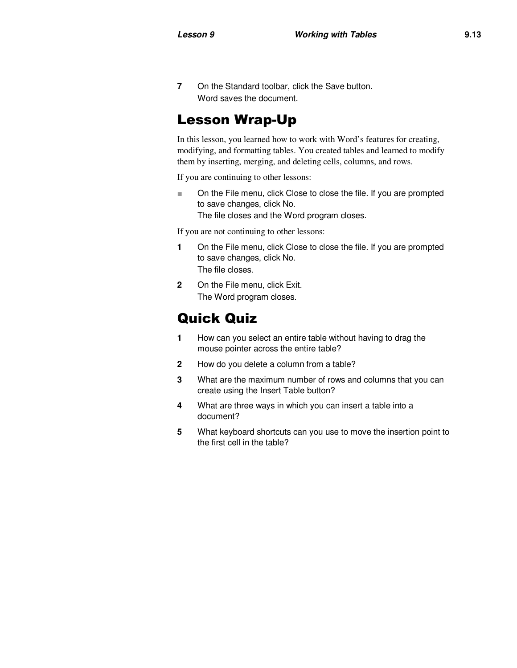**7** On the Standard toolbar, click the Save button. Word saves the document.

### Lesson Wrap-Up

In this lesson, you learned how to work with Word's features for creating, modifying, and formatting tables. You created tables and learned to modify them by inserting, merging, and deleting cells, columns, and rows.

If you are continuing to other lessons:

■ On the File menu, click Close to close the file. If you are prompted to save changes, click No. The file closes and the Word program closes.

If you are not continuing to other lessons:

- **1** On the File menu, click Close to close the file. If you are prompted to save changes, click No. The file closes.
- **2** On the File menu, click Exit. The Word program closes.

## Quick Quiz

- **1** How can you select an entire table without having to drag the mouse pointer across the entire table?
- **2** How do you delete a column from a table?
- **3** What are the maximum number of rows and columns that you can create using the Insert Table button?
- **4** What are three ways in which you can insert a table into a document?
- **5** What keyboard shortcuts can you use to move the insertion point to the first cell in the table?